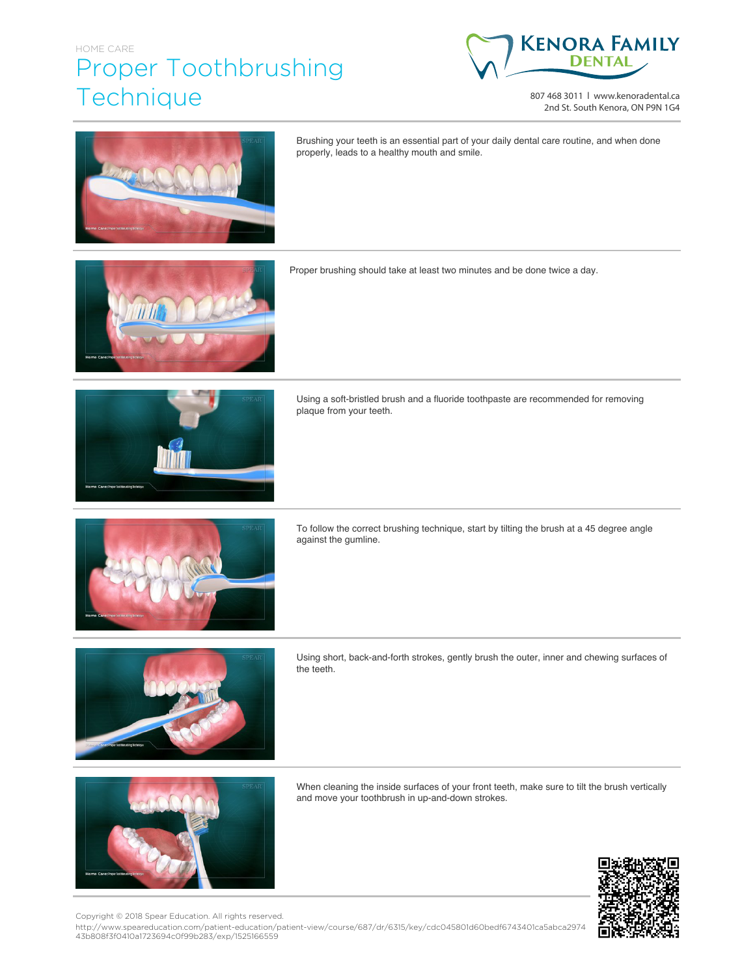## HOME CARE Proper Toothbrushing **Technique**



807 468 3011 | www.kenoradental.ca 2nd St. South Kenora, ON P9N 1G4



Brushing your teeth is an essential part of your daily dental care routine, and when done properly, leads to a healthy mouth and smile.



Proper brushing should take at least two minutes and be done twice a day.



Using a soft-bristled brush and a fluoride toothpaste are recommended for removing plaque from your teeth.



To follow the correct brushing technique, start by tilting the brush at a 45 degree angle against the gumline.



Using short, back-and-forth strokes, gently brush the outer, inner and chewing surfaces of the teeth.



When cleaning the inside surfaces of your front teeth, make sure to tilt the brush vertically and move your toothbrush in up-and-down strokes.



Copyright © 2018 Spear Education. All rights reserved.

http://www.speareducation.com/patient-education/patient-view/course/687/dr/6315/key/cdc045801d60bedf6743401ca5abca2974 43b808f3f0410a1723694c0f99b283/exp/1525166559